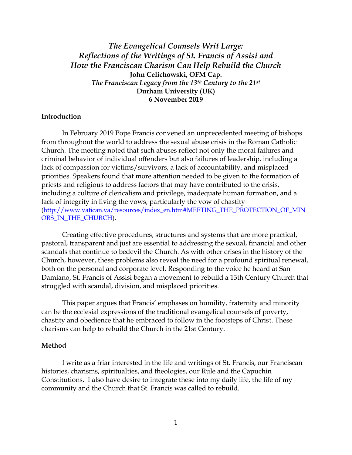*The Evangelical Counsels Writ Large: Reflections of the Writings of St. Francis of Assisi and How the Franciscan Charism Can Help Rebuild the Church* **John Celichowski, OFM Cap.** *The Franciscan Legacy from the 13th Century to the 21st* **Durham University (UK) 6 November 2019**

### **Introduction**

In February 2019 Pope Francis convened an unprecedented meeting of bishops from throughout the world to address the sexual abuse crisis in the Roman Catholic Church. The meeting noted that such abuses reflect not only the moral failures and criminal behavior of individual offenders but also failures of leadership, including a lack of compassion for victims/survivors, a lack of accountability, and misplaced priorities. Speakers found that more attention needed to be given to the formation of priests and religious to address factors that may have contributed to the crisis, including a culture of clericalism and privilege, inadequate human formation, and a lack of integrity in living the vows, particularly the vow of chastity [\(http://www.vatican.va/resources/index\\_en.htm#MEETING\\_THE\\_PROTECTION\\_OF\\_MIN](http://www.vatican.va/resources/index_en.htm#MEETING_THE_PROTECTION_OF_MINORS_IN_THE_CHURCH) [ORS\\_IN\\_THE\\_CHURCH\)](http://www.vatican.va/resources/index_en.htm#MEETING_THE_PROTECTION_OF_MINORS_IN_THE_CHURCH).

Creating effective procedures, structures and systems that are more practical, pastoral, transparent and just are essential to addressing the sexual, financial and other scandals that continue to bedevil the Church. As with other crises in the history of the Church, however, these problems also reveal the need for a profound spiritual renewal, both on the personal and corporate level. Responding to the voice he heard at San Damiano, St. Francis of Assisi began a movement to rebuild a 13th Century Church that struggled with scandal, division, and misplaced priorities.

This paper argues that Francis' emphases on humility, fraternity and minority can be the ecclesial expressions of the traditional evangelical counsels of poverty, chastity and obedience that he embraced to follow in the footsteps of Christ. These charisms can help to rebuild the Church in the 21st Century.

#### **Method**

I write as a friar interested in the life and writings of St. Francis, our Franciscan histories, charisms, spiritualties, and theologies, our Rule and the Capuchin Constitutions. I also have desire to integrate these into my daily life, the life of my community and the Church that St. Francis was called to rebuild.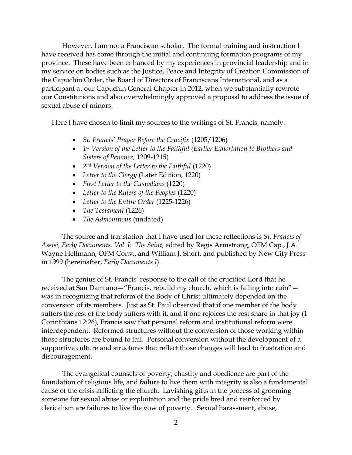However, I am not a Franciscan scholar. The formal training and instruction I have received has come through the initial and continuing formation programs of my province. These have been enhanced by my experiences in provincial leadership and in my service on bodies such as the Justice, Peace and Integrity of Creation Commission of the Capuchin Order, the Board of Directors of Franciscans International, and as a participant at our Capuchin General Chapter in 2012, when we substantially rewrote our Constitutions and also overwhelmingly approved a proposal to address the issue of sexual abuse of minors.

Here I have chosen to limit my sources to the writings of St. Francis, namely:

- *St. Francis' Prayer Before the Crucifix* (1205/1206)
- *1st Version of the Letter to the Faithful (Earlier Exhortation to Brothers and Sisters of Penance,* 1209-1215)
- *2nd Version of the Letter to the Faithful* (1220)
- *Letter to the Clergy* (Later Edition, 1220)
- *First Letter to the Custodians* (1220)
- *Letter to the Rulers of the Peoples* (1220)
- *Letter to the Entire Order* (1225-1226)
- *The Testament* (1226)
- *The Admonitions* (undated)

The source and translation that I have used for these reflections is *St. Francis of Assisi, Early Documents, Vol. I: The Saint,* edited by Regis Armstrong, OFM Cap., J.A. Wayne Hellmann, OFM Conv., and William J. Short, and published by New City Press in 1999 (hereinafter, *Early Documents I*).

The genius of St. Francis' response to the call of the crucified Lord that he received at San Damiano—"Francis, rebuild my church, which is falling into ruin" was in recognizing that reform of the Body of Christ ultimately depended on the conversion of its members. Just as St. Paul observed that if one member of the body suffers the rest of the body suffers with it, and if one rejoices the rest share in that joy (1 Corinthians 12:26), Francis saw that personal reform and institutional reform were interdependent. Reformed structures without the conversion of those working within those structures are bound to fail. Personal conversion without the development of a supportive culture and structures that reflect those changes will lead to frustration and discouragement.

The evangelical counsels of poverty, chastity and obedience are part of the foundation of religious life, and failure to live them with integrity is also a fundamental cause of the crisis afflicting the church. Lavishing gifts in the process of grooming someone for sexual abuse or exploitation and the pride bred and reinforced by clericalism are failures to live the vow of poverty. Sexual harassment, abuse,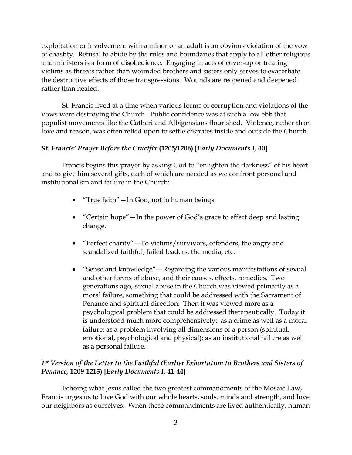exploitation or involvement with a minor or an adult is an obvious violation of the vow of chastity. Refusal to abide by the rules and boundaries that apply to all other religious and ministers is a form of disobedience. Engaging in acts of cover-up or treating victims as threats rather than wounded brothers and sisters only serves to exacerbate the destructive effects of those transgressions. Wounds are reopened and deepened rather than healed.

St. Francis lived at a time when various forms of corruption and violations of the vows were destroying the Church. Public confidence was at such a low ebb that populist movements like the Cathari and Albigensians flourished. Violence, rather than love and reason, was often relied upon to settle disputes inside and outside the Church.

# *St. Francis' Prayer Before the Crucifix* **(1205/1206) [***Early Documents I,* **40]**

Francis begins this prayer by asking God to "enlighten the darkness" of his heart and to give him several gifts, each of which are needed as we confront personal and institutional sin and failure in the Church:

- "True faith"—In God, not in human beings.
- "Certain hope" In the power of God's grace to effect deep and lasting change.
- "Perfect charity" To victims/survivors, offenders, the angry and scandalized faithful, failed leaders, the media, etc.
- "Sense and knowledge" Regarding the various manifestations of sexual and other forms of abuse, and their causes, effects, remedies. Two generations ago, sexual abuse in the Church was viewed primarily as a moral failure, something that could be addressed with the Sacrament of Penance and spiritual direction. Then it was viewed more as a psychological problem that could be addressed therapeutically. Today it is understood much more comprehensively: as a crime as well as a moral failure; as a problem involving all dimensions of a person (spiritual, emotional, psychological and physical); as an institutional failure as well as a personal failure.

# *1st Version of the Letter to the Faithful (Earlier Exhortation to Brothers and Sisters of Penance,* **1209-1215) [***Early Documents I,* **41-44]**

Echoing what Jesus called the two greatest commandments of the Mosaic Law, Francis urges us to love God with our whole hearts, souls, minds and strength, and love our neighbors as ourselves. When these commandments are lived authentically, human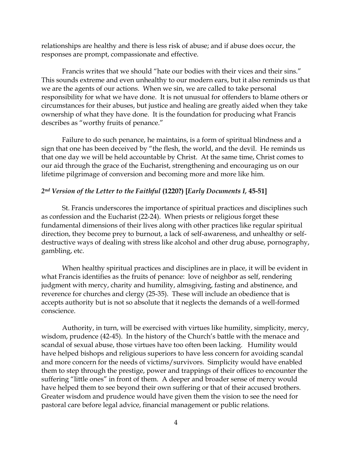relationships are healthy and there is less risk of abuse; and if abuse does occur, the responses are prompt, compassionate and effective.

Francis writes that we should "hate our bodies with their vices and their sins." This sounds extreme and even unhealthy to our modern ears, but it also reminds us that we are the agents of our actions. When we sin, we are called to take personal responsibility for what we have done. It is not unusual for offenders to blame others or circumstances for their abuses, but justice and healing are greatly aided when they take ownership of what they have done. It is the foundation for producing what Francis describes as "worthy fruits of penance."

Failure to do such penance, he maintains, is a form of spiritual blindness and a sign that one has been deceived by "the flesh, the world, and the devil. He reminds us that one day we will be held accountable by Christ. At the same time, Christ comes to our aid through the grace of the Eucharist, strengthening and encouraging us on our lifetime pilgrimage of conversion and becoming more and more like him.

### *2nd Version of the Letter to the Faithful* **(1220?) [***Early Documents I,* **45-51]**

St. Francis underscores the importance of spiritual practices and disciplines such as confession and the Eucharist (22-24). When priests or religious forget these fundamental dimensions of their lives along with other practices like regular spiritual direction, they become prey to burnout, a lack of self-awareness, and unhealthy or selfdestructive ways of dealing with stress like alcohol and other drug abuse, pornography, gambling, etc.

When healthy spiritual practices and disciplines are in place, it will be evident in what Francis identifies as the fruits of penance: love of neighbor as self, rendering judgment with mercy, charity and humility, almsgiving, fasting and abstinence, and reverence for churches and clergy (25-35). These will include an obedience that is accepts authority but is not so absolute that it neglects the demands of a well-formed conscience.

Authority, in turn, will be exercised with virtues like humility, simplicity, mercy, wisdom, prudence (42-45). In the history of the Church's battle with the menace and scandal of sexual abuse, those virtues have too often been lacking. Humility would have helped bishops and religious superiors to have less concern for avoiding scandal and more concern for the needs of victims/survivors. Simplicity would have enabled them to step through the prestige, power and trappings of their offices to encounter the suffering "little ones" in front of them. A deeper and broader sense of mercy would have helped them to see beyond their own suffering or that of their accused brothers. Greater wisdom and prudence would have given them the vision to see the need for pastoral care before legal advice, financial management or public relations.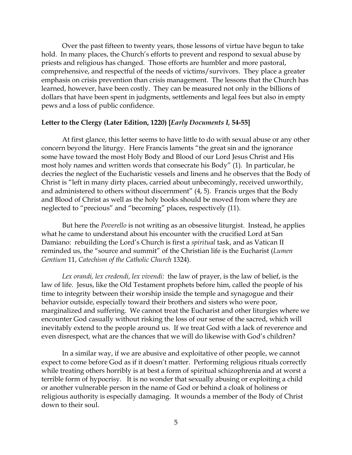Over the past fifteen to twenty years, those lessons of virtue have begun to take hold. In many places, the Church's efforts to prevent and respond to sexual abuse by priests and religious has changed. Those efforts are humbler and more pastoral, comprehensive, and respectful of the needs of victims/survivors. They place a greater emphasis on crisis prevention than crisis management. The lessons that the Church has learned, however, have been costly. They can be measured not only in the billions of dollars that have been spent in judgments, settlements and legal fees but also in empty pews and a loss of public confidence.

#### **Letter to the Clergy (Later Edition, 1220) [***Early Documents I,* **54-55]**

At first glance, this letter seems to have little to do with sexual abuse or any other concern beyond the liturgy. Here Francis laments "the great sin and the ignorance some have toward the most Holy Body and Blood of our Lord Jesus Christ and His most holy names and written words that consecrate his Body" (1). In particular, he decries the neglect of the Eucharistic vessels and linens and he observes that the Body of Christ is "left in many dirty places, carried about unbecomingly, received unworthily, and administered to others without discernment" (4, 5). Francis urges that the Body and Blood of Christ as well as the holy books should be moved from where they are neglected to "precious" and "becoming" places, respectively (11).

But here the *Poverello* is not writing as an obsessive liturgist. Instead, he applies what he came to understand about his encounter with the crucified Lord at San Damiano: rebuilding the Lord's Church is first a *spiritual* task, and as Vatican II reminded us, the "source and summit" of the Christian life is the Eucharist (*Lumen Gentium* 11, *Catechism of the Catholic Church* 1324).

*Lex orandi, lex credendi, lex vivendi:* the law of prayer, is the law of belief, is the law of life. Jesus, like the Old Testament prophets before him, called the people of his time to integrity between their worship inside the temple and synagogue and their behavior outside, especially toward their brothers and sisters who were poor, marginalized and suffering. We cannot treat the Eucharist and other liturgies where we encounter God casually without risking the loss of our sense of the sacred, which will inevitably extend to the people around us. If we treat God with a lack of reverence and even disrespect, what are the chances that we will do likewise with God's children?

In a similar way, if we are abusive and exploitative of other people, we cannot expect to come before God as if it doesn't matter. Performing religious rituals correctly while treating others horribly is at best a form of spiritual schizophrenia and at worst a terrible form of hypocrisy. It is no wonder that sexually abusing or exploiting a child or another vulnerable person in the name of God or behind a cloak of holiness or religious authority is especially damaging. It wounds a member of the Body of Christ down to their soul.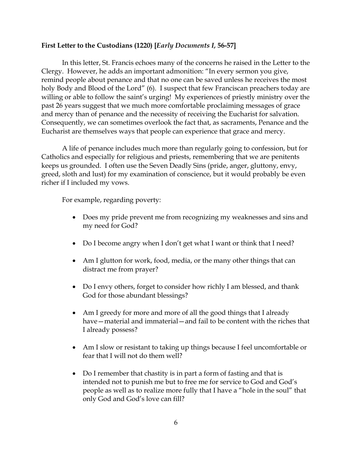# **First Letter to the Custodians (1220) [***Early Documents I,* **56-57]**

In this letter, St. Francis echoes many of the concerns he raised in the Letter to the Clergy. However, he adds an important admonition: "In every sermon you give, remind people about penance and that no one can be saved unless he receives the most holy Body and Blood of the Lord" (6). I suspect that few Franciscan preachers today are willing or able to follow the saint's urging! My experiences of priestly ministry over the past 26 years suggest that we much more comfortable proclaiming messages of grace and mercy than of penance and the necessity of receiving the Eucharist for salvation. Consequently, we can sometimes overlook the fact that, as sacraments, Penance and the Eucharist are themselves ways that people can experience that grace and mercy.

A life of penance includes much more than regularly going to confession, but for Catholics and especially for religious and priests, remembering that we are penitents keeps us grounded. I often use the Seven Deadly Sins (pride, anger, gluttony, envy, greed, sloth and lust) for my examination of conscience, but it would probably be even richer if I included my vows.

For example, regarding poverty:

- Does my pride prevent me from recognizing my weaknesses and sins and my need for God?
- Do I become angry when I don't get what I want or think that I need?
- Am I glutton for work, food, media, or the many other things that can distract me from prayer?
- Do I envy others, forget to consider how richly I am blessed, and thank God for those abundant blessings?
- Am I greedy for more and more of all the good things that I already have—material and immaterial—and fail to be content with the riches that I already possess?
- Am I slow or resistant to taking up things because I feel uncomfortable or fear that I will not do them well?
- Do I remember that chastity is in part a form of fasting and that is intended not to punish me but to free me for service to God and God's people as well as to realize more fully that I have a "hole in the soul" that only God and God's love can fill?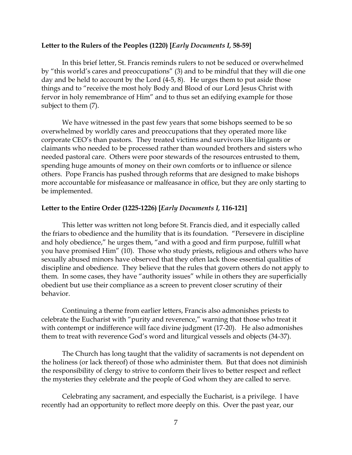### **Letter to the Rulers of the Peoples (1220) [***Early Documents I,* **58-59]**

In this brief letter, St. Francis reminds rulers to not be seduced or overwhelmed by "this world's cares and preoccupations" (3) and to be mindful that they will die one day and be held to account by the Lord (4-5, 8). He urges them to put aside those things and to "receive the most holy Body and Blood of our Lord Jesus Christ with fervor in holy remembrance of Him" and to thus set an edifying example for those subject to them (7).

We have witnessed in the past few years that some bishops seemed to be so overwhelmed by worldly cares and preoccupations that they operated more like corporate CEO's than pastors. They treated victims and survivors like litigants or claimants who needed to be processed rather than wounded brothers and sisters who needed pastoral care. Others were poor stewards of the resources entrusted to them, spending huge amounts of money on their own comforts or to influence or silence others. Pope Francis has pushed through reforms that are designed to make bishops more accountable for misfeasance or malfeasance in office, but they are only starting to be implemented.

### **Letter to the Entire Order (1225-1226) [***Early Documents I,* **116-121]**

This letter was written not long before St. Francis died, and it especially called the friars to obedience and the humility that is its foundation. "Persevere in discipline and holy obedience," he urges them, "and with a good and firm purpose, fulfill what you have promised Him" (10). Those who study priests, religious and others who have sexually abused minors have observed that they often lack those essential qualities of discipline and obedience. They believe that the rules that govern others do not apply to them. In some cases, they have "authority issues" while in others they are superficially obedient but use their compliance as a screen to prevent closer scrutiny of their behavior.

Continuing a theme from earlier letters, Francis also admonishes priests to celebrate the Eucharist with "purity and reverence," warning that those who treat it with contempt or indifference will face divine judgment (17-20). He also admonishes them to treat with reverence God's word and liturgical vessels and objects (34-37).

The Church has long taught that the validity of sacraments is not dependent on the holiness (or lack thereof) of those who administer them. But that does not diminish the responsibility of clergy to strive to conform their lives to better respect and reflect the mysteries they celebrate and the people of God whom they are called to serve.

Celebrating any sacrament, and especially the Eucharist, is a privilege. I have recently had an opportunity to reflect more deeply on this. Over the past year, our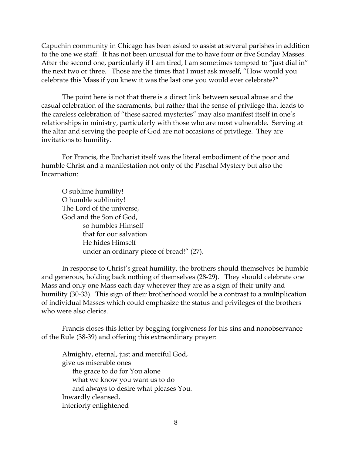Capuchin community in Chicago has been asked to assist at several parishes in addition to the one we staff. It has not been unusual for me to have four or five Sunday Masses. After the second one, particularly if I am tired, I am sometimes tempted to "just dial in" the next two or three. Those are the times that I must ask myself, "How would you celebrate this Mass if you knew it was the last one you would ever celebrate?"

The point here is not that there is a direct link between sexual abuse and the casual celebration of the sacraments, but rather that the sense of privilege that leads to the careless celebration of "these sacred mysteries" may also manifest itself in one's relationships in ministry, particularly with those who are most vulnerable. Serving at the altar and serving the people of God are not occasions of privilege. They are invitations to humility.

For Francis, the Eucharist itself was the literal embodiment of the poor and humble Christ and a manifestation not only of the Paschal Mystery but also the Incarnation:

O sublime humility! O humble sublimity! The Lord of the universe, God and the Son of God, so humbles Himself that for our salvation He hides Himself under an ordinary piece of bread!" (27).

In response to Christ's great humility, the brothers should themselves be humble and generous, holding back nothing of themselves (28-29). They should celebrate one Mass and only one Mass each day wherever they are as a sign of their unity and humility (30-33). This sign of their brotherhood would be a contrast to a multiplication of individual Masses which could emphasize the status and privileges of the brothers who were also clerics.

Francis closes this letter by begging forgiveness for his sins and nonobservance of the Rule (38-39) and offering this extraordinary prayer:

Almighty, eternal, just and merciful God, give us miserable ones the grace to do for You alone what we know you want us to do and always to desire what pleases You. Inwardly cleansed, interiorly enlightened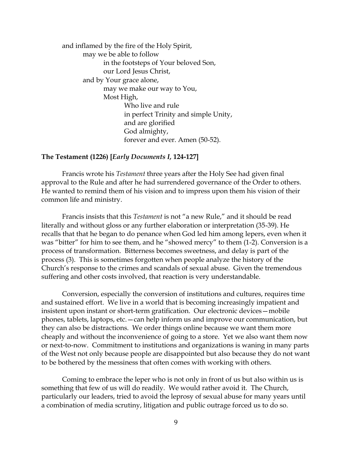and inflamed by the fire of the Holy Spirit, may we be able to follow in the footsteps of Your beloved Son, our Lord Jesus Christ, and by Your grace alone, may we make our way to You, Most High, Who live and rule in perfect Trinity and simple Unity, and are glorified God almighty, forever and ever. Amen (50-52).

### **The Testament (1226) [***Early Documents I,* **124-127]**

Francis wrote his *Testament* three years after the Holy See had given final approval to the Rule and after he had surrendered governance of the Order to others. He wanted to remind them of his vision and to impress upon them his vision of their common life and ministry.

Francis insists that this *Testament* is not "a new Rule," and it should be read literally and without gloss or any further elaboration or interpretation (35-39). He recalls that that he began to do penance when God led him among lepers, even when it was "bitter" for him to see them, and he "showed mercy" to them (1-2). Conversion is a process of transformation. Bitterness becomes sweetness, and delay is part of the process (3). This is sometimes forgotten when people analyze the history of the Church's response to the crimes and scandals of sexual abuse. Given the tremendous suffering and other costs involved, that reaction is very understandable.

Conversion, especially the conversion of institutions and cultures, requires time and sustained effort. We live in a world that is becoming increasingly impatient and insistent upon instant or short-term gratification. Our electronic devices—mobile phones, tablets, laptops, etc.—can help inform us and improve our communication, but they can also be distractions. We order things online because we want them more cheaply and without the inconvenience of going to a store. Yet we also want them now or next-to-now. Commitment to institutions and organizations is waning in many parts of the West not only because people are disappointed but also because they do not want to be bothered by the messiness that often comes with working with others.

Coming to embrace the leper who is not only in front of us but also within us is something that few of us will do readily. We would rather avoid it. The Church, particularly our leaders, tried to avoid the leprosy of sexual abuse for many years until a combination of media scrutiny, litigation and public outrage forced us to do so.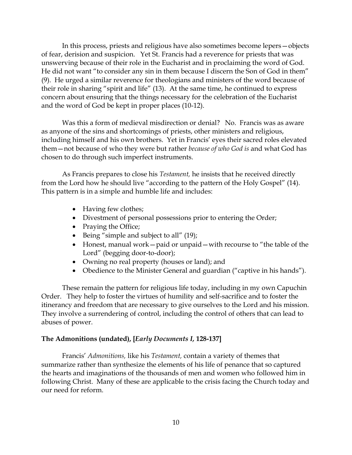In this process, priests and religious have also sometimes become lepers—objects of fear, derision and suspicion. Yet St. Francis had a reverence for priests that was unswerving because of their role in the Eucharist and in proclaiming the word of God. He did not want "to consider any sin in them because I discern the Son of God in them" (9). He urged a similar reverence for theologians and ministers of the word because of their role in sharing "spirit and life" (13). At the same time, he continued to express concern about ensuring that the things necessary for the celebration of the Eucharist and the word of God be kept in proper places (10-12).

Was this a form of medieval misdirection or denial? No. Francis was as aware as anyone of the sins and shortcomings of priests, other ministers and religious, including himself and his own brothers. Yet in Francis' eyes their sacred roles elevated them—not because of who they were but rather *because of who God is* and what God has chosen to do through such imperfect instruments.

As Francis prepares to close his *Testament,* he insists that he received directly from the Lord how he should live "according to the pattern of the Holy Gospel" (14). This pattern is in a simple and humble life and includes:

- Having few clothes;
- Divestment of personal possessions prior to entering the Order;
- Praying the Office;
- Being "simple and subject to all" (19);
- Honest, manual work—paid or unpaid—with recourse to "the table of the Lord" (begging door-to-door);
- Owning no real property (houses or land); and
- Obedience to the Minister General and guardian ("captive in his hands").

These remain the pattern for religious life today, including in my own Capuchin Order. They help to foster the virtues of humility and self-sacrifice and to foster the itinerancy and freedom that are necessary to give ourselves to the Lord and his mission. They involve a surrendering of control, including the control of others that can lead to abuses of power.

### **The Admonitions (undated), [***Early Documents I,* **128-137]**

Francis' *Admonitions,* like his *Testament,* contain a variety of themes that summarize rather than synthesize the elements of his life of penance that so captured the hearts and imaginations of the thousands of men and women who followed him in following Christ. Many of these are applicable to the crisis facing the Church today and our need for reform.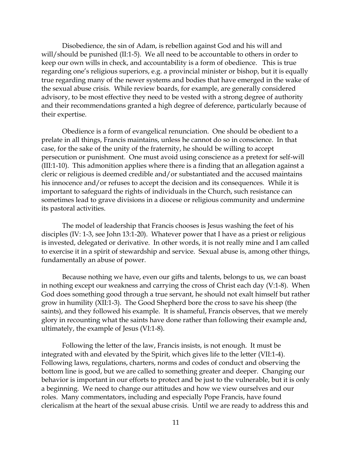Disobedience, the sin of Adam, is rebellion against God and his will and will/should be punished (II:1-5). We all need to be accountable to others in order to keep our own wills in check, and accountability is a form of obedience. This is true regarding one's religious superiors, e.g. a provincial minister or bishop, but it is equally true regarding many of the newer systems and bodies that have emerged in the wake of the sexual abuse crisis. While review boards, for example, are generally considered advisory, to be most effective they need to be vested with a strong degree of authority and their recommendations granted a high degree of deference, particularly because of their expertise.

Obedience is a form of evangelical renunciation. One should be obedient to a prelate in all things, Francis maintains, unless he cannot do so in conscience. In that case, for the sake of the unity of the fraternity, he should be willing to accept persecution or punishment. One must avoid using conscience as a pretext for self-will (III:1-10). This admonition applies where there is a finding that an allegation against a cleric or religious is deemed credible and/or substantiated and the accused maintains his innocence and/or refuses to accept the decision and its consequences. While it is important to safeguard the rights of individuals in the Church, such resistance can sometimes lead to grave divisions in a diocese or religious community and undermine its pastoral activities.

The model of leadership that Francis chooses is Jesus washing the feet of his disciples (IV: 1-3, see John 13:1-20). Whatever power that I have as a priest or religious is invested, delegated or derivative. In other words, it is not really mine and I am called to exercise it in a spirit of stewardship and service. Sexual abuse is, among other things, fundamentally an abuse of power.

Because nothing we have, even our gifts and talents, belongs to us, we can boast in nothing except our weakness and carrying the cross of Christ each day (V:1-8). When God does something good through a true servant, he should not exalt himself but rather grow in humility (XII:1-3). The Good Shepherd bore the cross to save his sheep (the saints), and they followed his example. It is shameful, Francis observes, that we merely glory in recounting what the saints have done rather than following their example and, ultimately, the example of Jesus (VI:1-8).

Following the letter of the law, Francis insists, is not enough. It must be integrated with and elevated by the Spirit, which gives life to the letter (VII:1-4). Following laws, regulations, charters, norms and codes of conduct and observing the bottom line is good, but we are called to something greater and deeper. Changing our behavior is important in our efforts to protect and be just to the vulnerable, but it is only a beginning. We need to change our attitudes and how we view ourselves and our roles. Many commentators, including and especially Pope Francis, have found clericalism at the heart of the sexual abuse crisis. Until we are ready to address this and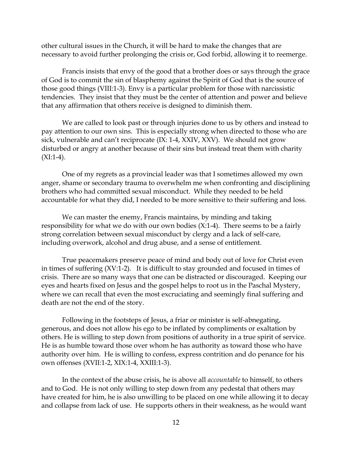other cultural issues in the Church, it will be hard to make the changes that are necessary to avoid further prolonging the crisis or, God forbid, allowing it to reemerge.

Francis insists that envy of the good that a brother does or says through the grace of God is to commit the sin of blasphemy against the Spirit of God that is the source of those good things (VIII:1-3). Envy is a particular problem for those with narcissistic tendencies. They insist that they must be the center of attention and power and believe that any affirmation that others receive is designed to diminish them.

We are called to look past or through injuries done to us by others and instead to pay attention to our own sins. This is especially strong when directed to those who are sick, vulnerable and can't reciprocate (IX: 1-4, XXIV, XXV). We should not grow disturbed or angry at another because of their sins but instead treat them with charity  $(XI:1-4)$ .

One of my regrets as a provincial leader was that I sometimes allowed my own anger, shame or secondary trauma to overwhelm me when confronting and disciplining brothers who had committed sexual misconduct. While they needed to be held accountable for what they did, I needed to be more sensitive to their suffering and loss.

We can master the enemy, Francis maintains, by minding and taking responsibility for what we do with our own bodies  $(X:1-4)$ . There seems to be a fairly strong correlation between sexual misconduct by clergy and a lack of self-care, including overwork, alcohol and drug abuse, and a sense of entitlement.

True peacemakers preserve peace of mind and body out of love for Christ even in times of suffering (XV:1-2). It is difficult to stay grounded and focused in times of crisis. There are so many ways that one can be distracted or discouraged. Keeping our eyes and hearts fixed on Jesus and the gospel helps to root us in the Paschal Mystery, where we can recall that even the most excruciating and seemingly final suffering and death are not the end of the story.

Following in the footsteps of Jesus, a friar or minister is self-abnegating, generous, and does not allow his ego to be inflated by compliments or exaltation by others. He is willing to step down from positions of authority in a true spirit of service. He is as humble toward those over whom he has authority as toward those who have authority over him. He is willing to confess, express contrition and do penance for his own offenses (XVII:1-2, XIX:1-4, XXIII:1-3).

In the context of the abuse crisis, he is above all *accountable* to himself, to others and to God. He is not only willing to step down from any pedestal that others may have created for him, he is also unwilling to be placed on one while allowing it to decay and collapse from lack of use. He supports others in their weakness, as he would want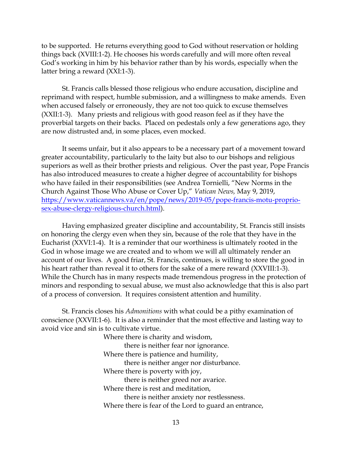to be supported. He returns everything good to God without reservation or holding things back (XVIII:1-2). He chooses his words carefully and will more often reveal God's working in him by his behavior rather than by his words, especially when the latter bring a reward (XXI:1-3).

St. Francis calls blessed those religious who endure accusation, discipline and reprimand with respect, humble submission, and a willingness to make amends. Even when accused falsely or erroneously, they are not too quick to excuse themselves (XXII:1-3). Many priests and religious with good reason feel as if they have the proverbial targets on their backs. Placed on pedestals only a few generations ago, they are now distrusted and, in some places, even mocked.

It seems unfair, but it also appears to be a necessary part of a movement toward greater accountability, particularly to the laity but also to our bishops and religious superiors as well as their brother priests and religious. Over the past year, Pope Francis has also introduced measures to create a higher degree of accountability for bishops who have failed in their responsibilities (see Andrea Tornielli, "New Norms in the Church Against Those Who Abuse or Cover Up," *Vatican News,* May 9, 2019, [https://www.vaticannews.va/en/pope/news/2019-05/pope-francis-motu-proprio](https://www.vaticannews.va/en/pope/news/2019-05/pope-francis-motu-proprio-sex-abuse-clergy-religious-church.html)[sex-abuse-clergy-religious-church.html\)](https://www.vaticannews.va/en/pope/news/2019-05/pope-francis-motu-proprio-sex-abuse-clergy-religious-church.html).

Having emphasized greater discipline and accountability, St. Francis still insists on honoring the clergy even when they sin, because of the role that they have in the Eucharist (XXVI:1-4). It is a reminder that our worthiness is ultimately rooted in the God in whose image we are created and to whom we will all ultimately render an account of our lives. A good friar, St. Francis, continues, is willing to store the good in his heart rather than reveal it to others for the sake of a mere reward (XXVIII:1-3). While the Church has in many respects made tremendous progress in the protection of minors and responding to sexual abuse, we must also acknowledge that this is also part of a process of conversion. It requires consistent attention and humility.

St. Francis closes his *Admonitions* with what could be a pithy examination of conscience (XXVII:1-6). It is also a reminder that the most effective and lasting way to avoid vice and sin is to cultivate virtue.

> Where there is charity and wisdom, there is neither fear nor ignorance. Where there is patience and humility, there is neither anger nor disturbance. Where there is poverty with joy, there is neither greed nor avarice. Where there is rest and meditation, there is neither anxiety nor restlessness. Where there is fear of the Lord to guard an entrance,